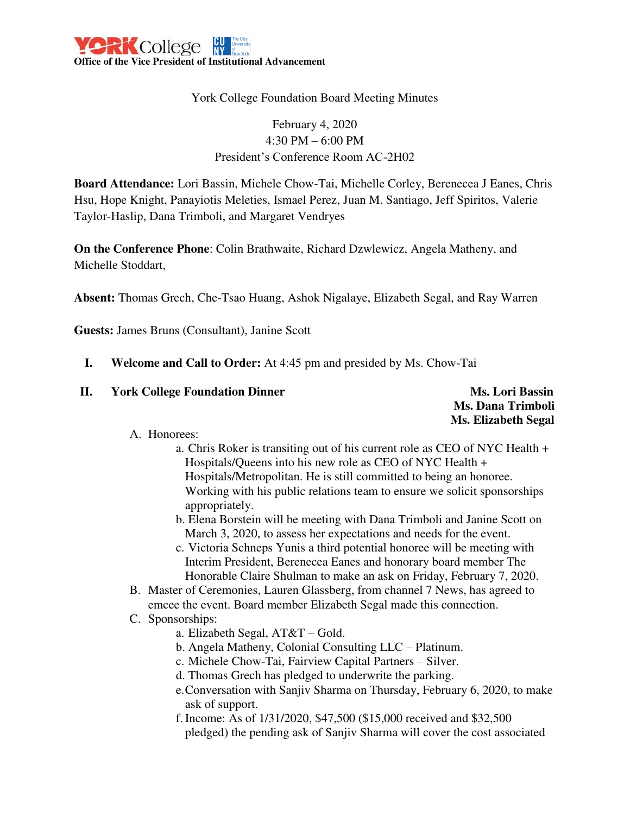### York College Foundation Board Meeting Minutes

# February 4, 2020 4:30 PM – 6:00 PM President's Conference Room AC-2H02

**Board Attendance:** Lori Bassin, Michele Chow-Tai, Michelle Corley, Berenecea J Eanes, Chris Hsu, Hope Knight, Panayiotis Meleties, Ismael Perez, Juan M. Santiago, Jeff Spiritos, Valerie Taylor-Haslip, Dana Trimboli, and Margaret Vendryes

**On the Conference Phone**: Colin Brathwaite, Richard Dzwlewicz, Angela Matheny, and Michelle Stoddart,

**Absent:** Thomas Grech, Che-Tsao Huang, Ashok Nigalaye, Elizabeth Segal, and Ray Warren

**Guests:** James Bruns (Consultant), Janine Scott

- **I. Welcome and Call to Order:** At 4:45 pm and presided by Ms. Chow-Tai
- **II.** York College Foundation Dinner Ms. Lori Bassin

 **Ms. Dana Trimboli Ms. Elizabeth Segal** 

### A. Honorees:

- a. Chris Roker is transiting out of his current role as CEO of NYC Health + Hospitals/Queens into his new role as CEO of NYC Health + Hospitals/Metropolitan. He is still committed to being an honoree. Working with his public relations team to ensure we solicit sponsorships appropriately.
- b. Elena Borstein will be meeting with Dana Trimboli and Janine Scott on March 3, 2020, to assess her expectations and needs for the event.
- c. Victoria Schneps Yunis a third potential honoree will be meeting with Interim President, Berenecea Eanes and honorary board member The Honorable Claire Shulman to make an ask on Friday, February 7, 2020.
- B. Master of Ceremonies, Lauren Glassberg, from channel 7 News, has agreed to emcee the event. Board member Elizabeth Segal made this connection.
- C. Sponsorships:
	- a. Elizabeth Segal, AT&T Gold.
	- b. Angela Matheny, Colonial Consulting LLC Platinum.
	- c. Michele Chow-Tai, Fairview Capital Partners Silver.
	- d. Thomas Grech has pledged to underwrite the parking.
	- e.Conversation with Sanjiv Sharma on Thursday, February 6, 2020, to make ask of support.
	- f. Income: As of 1/31/2020, \$47,500 (\$15,000 received and \$32,500 pledged) the pending ask of Sanjiv Sharma will cover the cost associated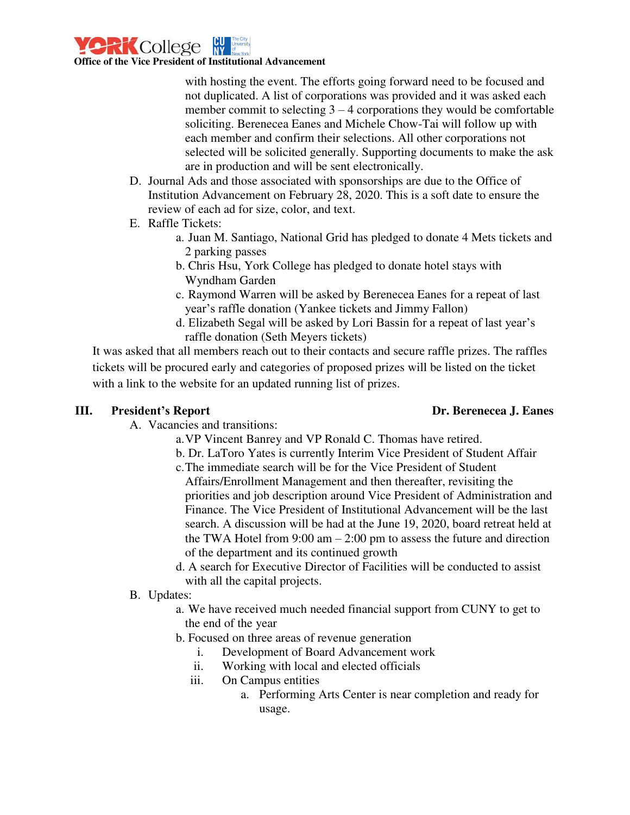

**Office of the Vice President of Institutional Advancement** 

with hosting the event. The efforts going forward need to be focused and not duplicated. A list of corporations was provided and it was asked each member commit to selecting  $3 - 4$  corporations they would be comfortable soliciting. Berenecea Eanes and Michele Chow-Tai will follow up with each member and confirm their selections. All other corporations not selected will be solicited generally. Supporting documents to make the ask are in production and will be sent electronically.

- D. Journal Ads and those associated with sponsorships are due to the Office of Institution Advancement on February 28, 2020. This is a soft date to ensure the review of each ad for size, color, and text.
- E. Raffle Tickets:
	- a. Juan M. Santiago, National Grid has pledged to donate 4 Mets tickets and 2 parking passes
	- b. Chris Hsu, York College has pledged to donate hotel stays with Wyndham Garden
	- c. Raymond Warren will be asked by Berenecea Eanes for a repeat of last year's raffle donation (Yankee tickets and Jimmy Fallon)
	- d. Elizabeth Segal will be asked by Lori Bassin for a repeat of last year's raffle donation (Seth Meyers tickets)

It was asked that all members reach out to their contacts and secure raffle prizes. The raffles tickets will be procured early and categories of proposed prizes will be listed on the ticket with a link to the website for an updated running list of prizes.

### **President's Report III. President's Report Dr. Berenecea J. Eanes**

- A. Vacancies and transitions:
	- a.VP Vincent Banrey and VP Ronald C. Thomas have retired.
	- b. Dr. LaToro Yates is currently Interim Vice President of Student Affair
	- c.The immediate search will be for the Vice President of Student Affairs/Enrollment Management and then thereafter, revisiting the priorities and job description around Vice President of Administration and Finance. The Vice President of Institutional Advancement will be the last search. A discussion will be had at the June 19, 2020, board retreat held at the TWA Hotel from  $9:00 \text{ am} - 2:00 \text{ pm}$  to assess the future and direction of the department and its continued growth
	- d. A search for Executive Director of Facilities will be conducted to assist with all the capital projects.
- B. Updates:
	- a. We have received much needed financial support from CUNY to get to the end of the year
	- b. Focused on three areas of revenue generation
		- i. Development of Board Advancement work
		- ii. Working with local and elected officials
		- iii. On Campus entities
			- a. Performing Arts Center is near completion and ready for usage.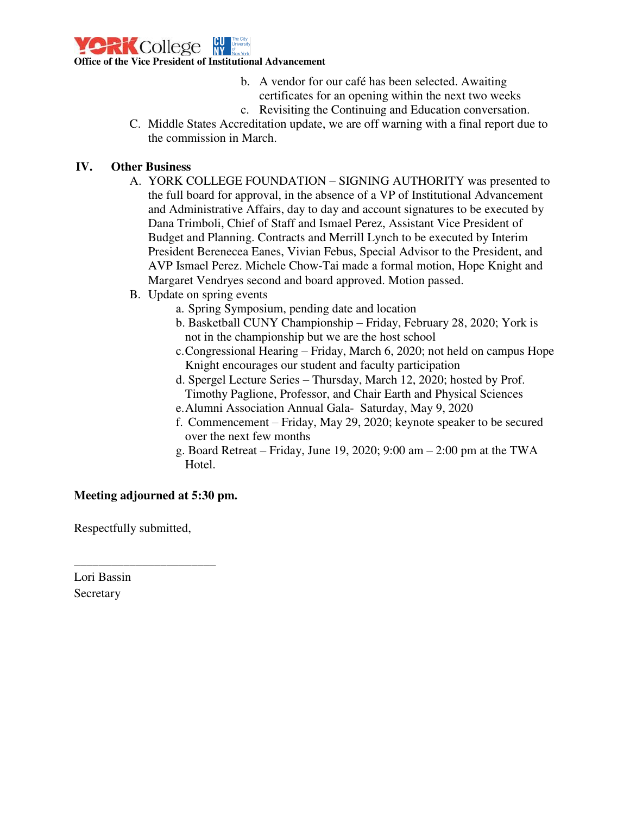

b. A vendor for our café has been selected. Awaiting certificates for an opening within the next two weeks

- c. Revisiting the Continuing and Education conversation.
- C. Middle States Accreditation update, we are off warning with a final report due to the commission in March.

## **IV. Other Business**

- and Administrative Affairs, day to day and account signatures to be executed by A. YORK COLLEGE FOUNDATION – SIGNING AUTHORITY was presented to the full board for approval, in the absence of a VP of Institutional Advancement Dana Trimboli, Chief of Staff and Ismael Perez, Assistant Vice President of Budget and Planning. Contracts and Merrill Lynch to be executed by Interim President Berenecea Eanes, Vivian Febus, Special Advisor to the President, and AVP Ismael Perez. Michele Chow-Tai made a formal motion, Hope Knight and Margaret Vendryes second and board approved. Motion passed.
- B. Update on spring events
	- a. Spring Symposium, pending date and location
	- b. Basketball CUNY Championship Friday, February 28, 2020; York is not in the championship but we are the host school
	- c.Congressional Hearing Friday, March 6, 2020; not held on campus Hope Knight encourages our student and faculty participation
	- d. Spergel Lecture Series Thursday, March 12, 2020; hosted by Prof. Timothy Paglione, Professor, and Chair Earth and Physical Sciences
	- e.Alumni Association Annual Gala- Saturday, May 9, 2020
	- f. Commencement Friday, May 29, 2020; keynote speaker to be secured over the next few months
	- g. Board Retreat Friday, June 19, 2020; 9:00 am 2:00 pm at the TWA Hotel.

### **Meeting adjourned at 5:30 pm.**

Respectfully submitted,

\_\_\_\_\_\_\_\_\_\_\_\_\_\_\_\_\_\_\_\_\_\_\_

Lori Bassin Secretary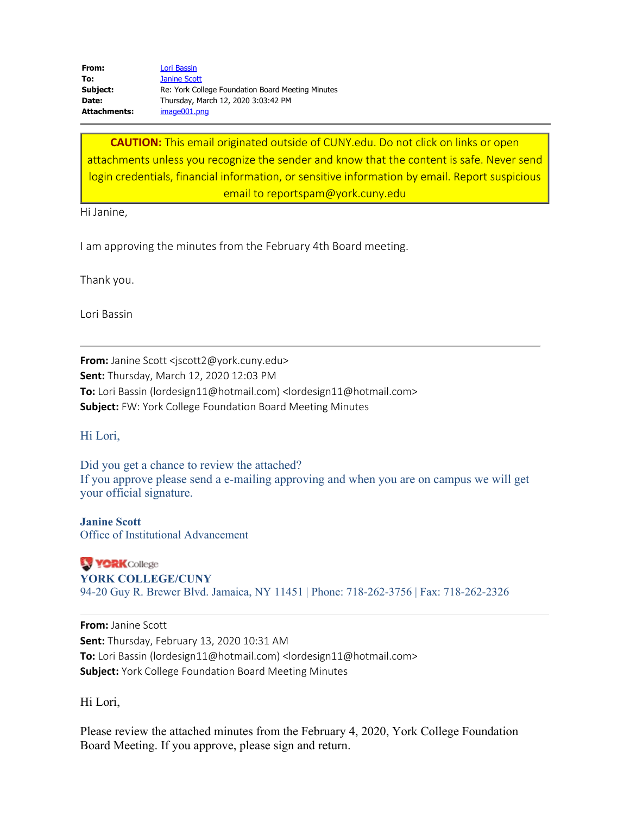From: Lori Bassin **To:** Janine Scott **Subject:** Re: York College Foundation Board Meeting Minutes **Date:** Thursday, March 12, 2020 3:03:42 PM **Attachments:** image001.png

**CAUTION:** This email originated outside of CUNY.edu. Do not click on links or open attachments unless you recognize the sender and know that the content is safe. Never send login credentials, financial information, or sensitive information by email. Report suspicious email to reportspam@york.cuny.edu

Hi Janine,

I am approving the minutes from the February 4th Board meeting.

Thank you.

Lori Bassin

**From:** Janine Scott [<jscott2@york.cuny.edu>](mailto:jscott2@york.cuny.edu) **Sent:** Thursday, March 12, 2020 12:03 PM **To:** Lori Bassin [\(lordesign11@hotmail.com\)](mailto:lordesign11@hotmail.com) [<lordesign11@hotmail.com](mailto:lordesign11@hotmail.com)> **Subject:** FW: York College Foundation Board Meeting Minutes

Hi Lori,

Did you get a chance to review the attached? If you approve please send a e-mailing approving and when you are on campus we will get your official signature.

**Janine Scott**  Office of Institutional Advancement

**VORK** College **YORK COLLEGE/CUNY**  94-20 Guy R. Brewer Blvd. Jamaica, NY 11451 | Phone: 718-262-3756 | Fax: 718-262-2326

**From:** Janine Scott **Sent:** Thursday, February 13, 2020 10:31 AM **To:** Lori Bassin [\(lordesign11@hotmail.com\)](mailto:lordesign11@hotmail.com) [<lordesign11@hotmail.com](mailto:lordesign11@hotmail.com)> **Subject:** York College Foundation Board Meeting Minutes

Hi Lori,

Please review the attached minutes from the February 4, 2020, York College Foundation Board Meeting. If you approve, please sign and return.